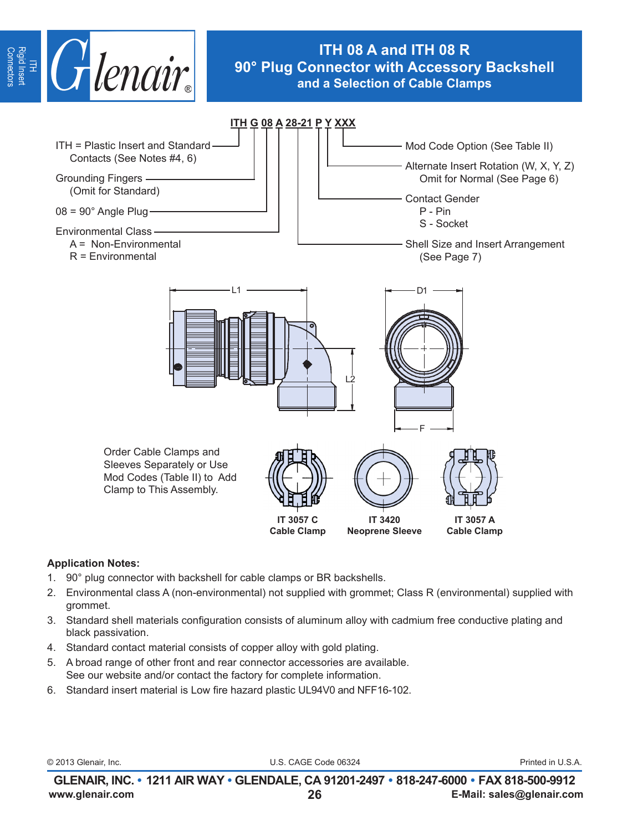

# **ITH 08 A and ITH 08 R 90° Plug Connector with Accessory Backshell and a Selection of Cable Clamps**



### **Application Notes:**

- 1. 90° plug connector with backshell for cable clamps or BR backshells.
- 2. Environmental class A (non-environmental) not supplied with grommet; Class R (environmental) supplied with grommet.
- 3. Standard shell materials configuration consists of aluminum alloy with cadmium free conductive plating and black passivation.
- 4. Standard contact material consists of copper alloy with gold plating.
- 5. A broad range of other front and rear connector accessories are available. See our website and/or contact the factory for complete information.
- 6. Standard insert material is Low fire hazard plastic UL94V0 and NFF16-102.

© 2013 Glenair, Inc. U.S. CAGE Code 06324 Printed in U.S.A.